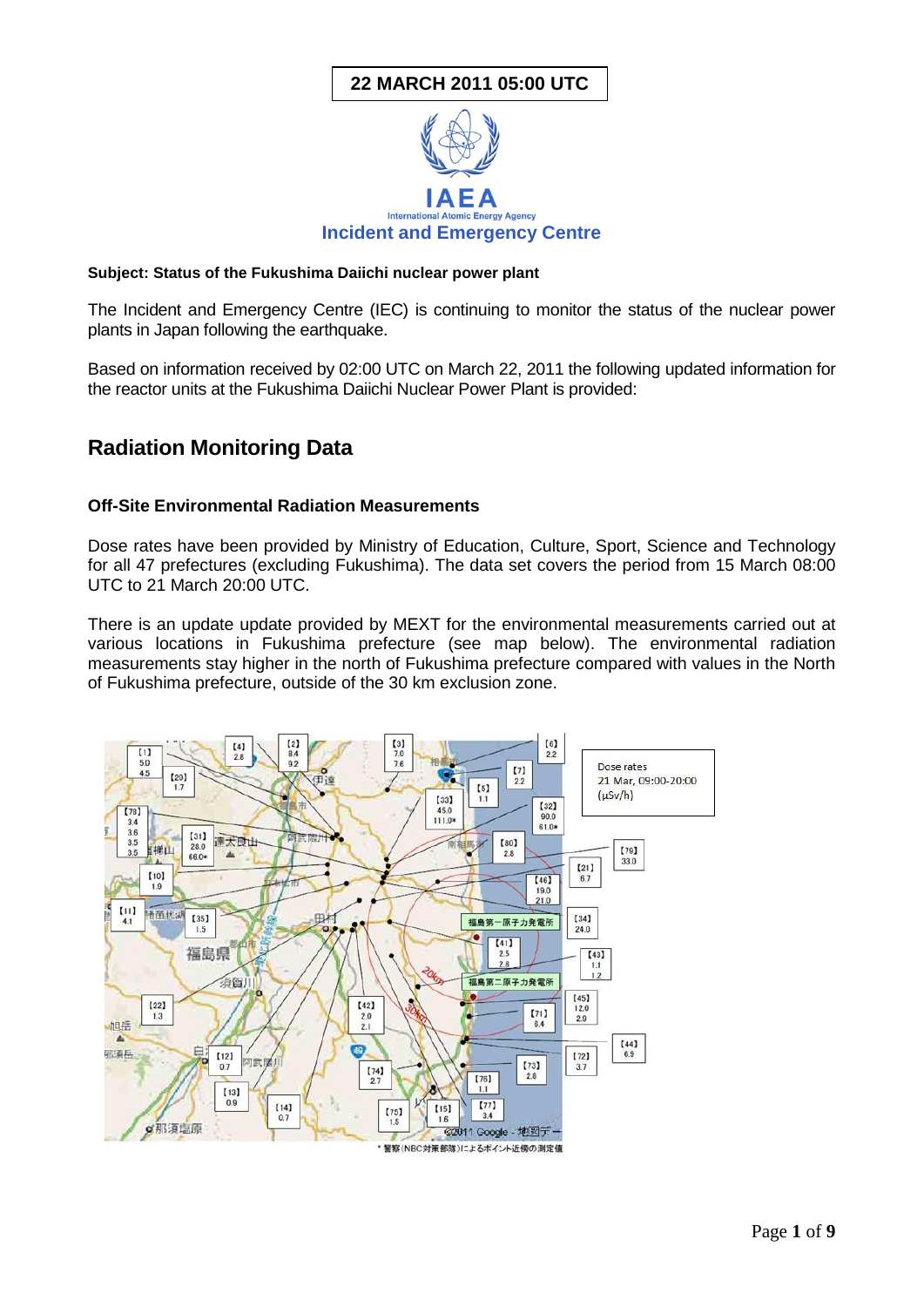# **22 MARCH 2011 05:00 UTC**



#### **Subject: Status of the Fukushima Daiichi nuclear power plant**

The Incident and Emergency Centre (IEC) is continuing to monitor the status of the nuclear power plants in Japan following the earthquake.

Based on information received by 02:00 UTC on March 22, 2011 the following updated information for the reactor units at the Fukushima Daiichi Nuclear Power Plant is provided:

# **Radiation Monitoring Data**

#### **Off-Site Environmental Radiation Measurements**

Dose rates have been provided by Ministry of Education, Culture, Sport, Science and Technology for all 47 prefectures (excluding Fukushima). The data set covers the period from 15 March 08:00 UTC to 21 March 20:00 UTC.

There is an update update provided by MEXT for the environmental measurements carried out at various locations in Fukushima prefecture (see map below). The environmental radiation measurements stay higher in the north of Fukushima prefecture compared with values in the North of Fukushima prefecture, outside of the 30 km exclusion zone.

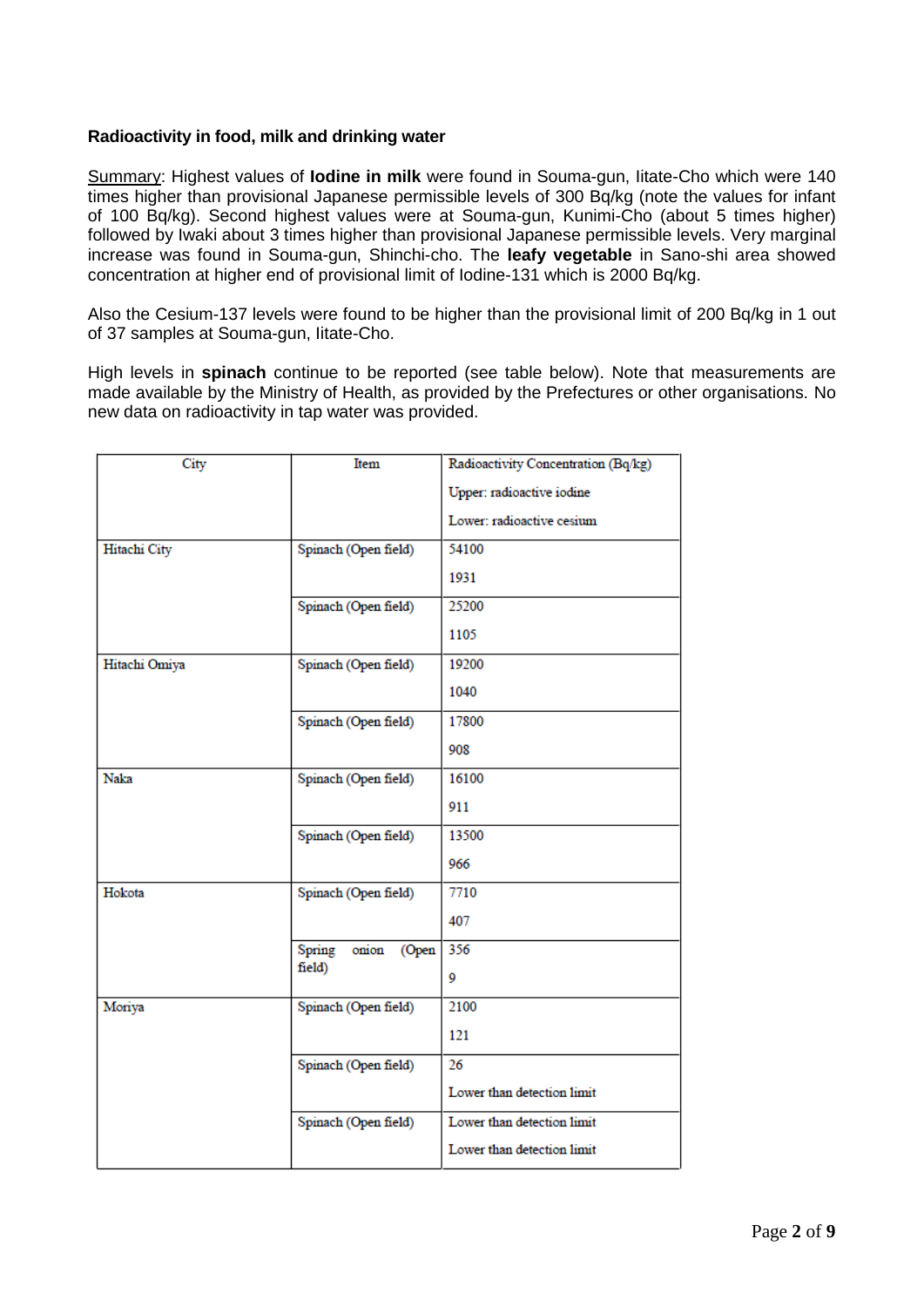### **Radioactivity in food, milk and drinking water**

Summary: Highest values of **Iodine in milk** were found in Souma-gun, Iitate-Cho which were 140 times higher than provisional Japanese permissible levels of 300 Bq/kg (note the values for infant of 100 Bq/kg). Second highest values were at Souma-gun, Kunimi-Cho (about 5 times higher) followed by Iwaki about 3 times higher than provisional Japanese permissible levels. Very marginal increase was found in Souma-gun, Shinchi-cho. The **leafy vegetable** in Sano-shi area showed concentration at higher end of provisional limit of Iodine-131 which is 2000 Bq/kg.

Also the Cesium-137 levels were found to be higher than the provisional limit of 200 Bq/kg in 1 out of 37 samples at Souma-gun, Iitate-Cho.

High levels in **spinach** continue to be reported (see table below). Note that measurements are made available by the Ministry of Health, as provided by the Prefectures or other organisations. No new data on radioactivity in tap water was provided.

| Item                  | Radioactivity Concentration (Bq/kg) |  |  |  |
|-----------------------|-------------------------------------|--|--|--|
|                       | Upper: radioactive iodine           |  |  |  |
|                       | Lower: radioactive cesium           |  |  |  |
| Spinach (Open field)  | 54100                               |  |  |  |
|                       | 1931                                |  |  |  |
| Spinach (Open field)  | 25200                               |  |  |  |
|                       | 1105                                |  |  |  |
| Spinach (Open field)  | 19200                               |  |  |  |
|                       | 1040                                |  |  |  |
| Spinach (Open field)  | 17800                               |  |  |  |
|                       | 908                                 |  |  |  |
| Spinach (Open field)  | 16100                               |  |  |  |
|                       | 911                                 |  |  |  |
| Spinach (Open field)  | 13500                               |  |  |  |
|                       | 966                                 |  |  |  |
| Spinach (Open field)  | 7710                                |  |  |  |
|                       | 407                                 |  |  |  |
| Spring onion<br>(Open | 356                                 |  |  |  |
|                       | 9                                   |  |  |  |
| Spinach (Open field)  | 2100                                |  |  |  |
|                       | 121                                 |  |  |  |
| Spinach (Open field)  | 26                                  |  |  |  |
|                       | Lower than detection limit          |  |  |  |
| Spinach (Open field)  | Lower than detection limit          |  |  |  |
|                       | Lower than detection limit          |  |  |  |
|                       | field)                              |  |  |  |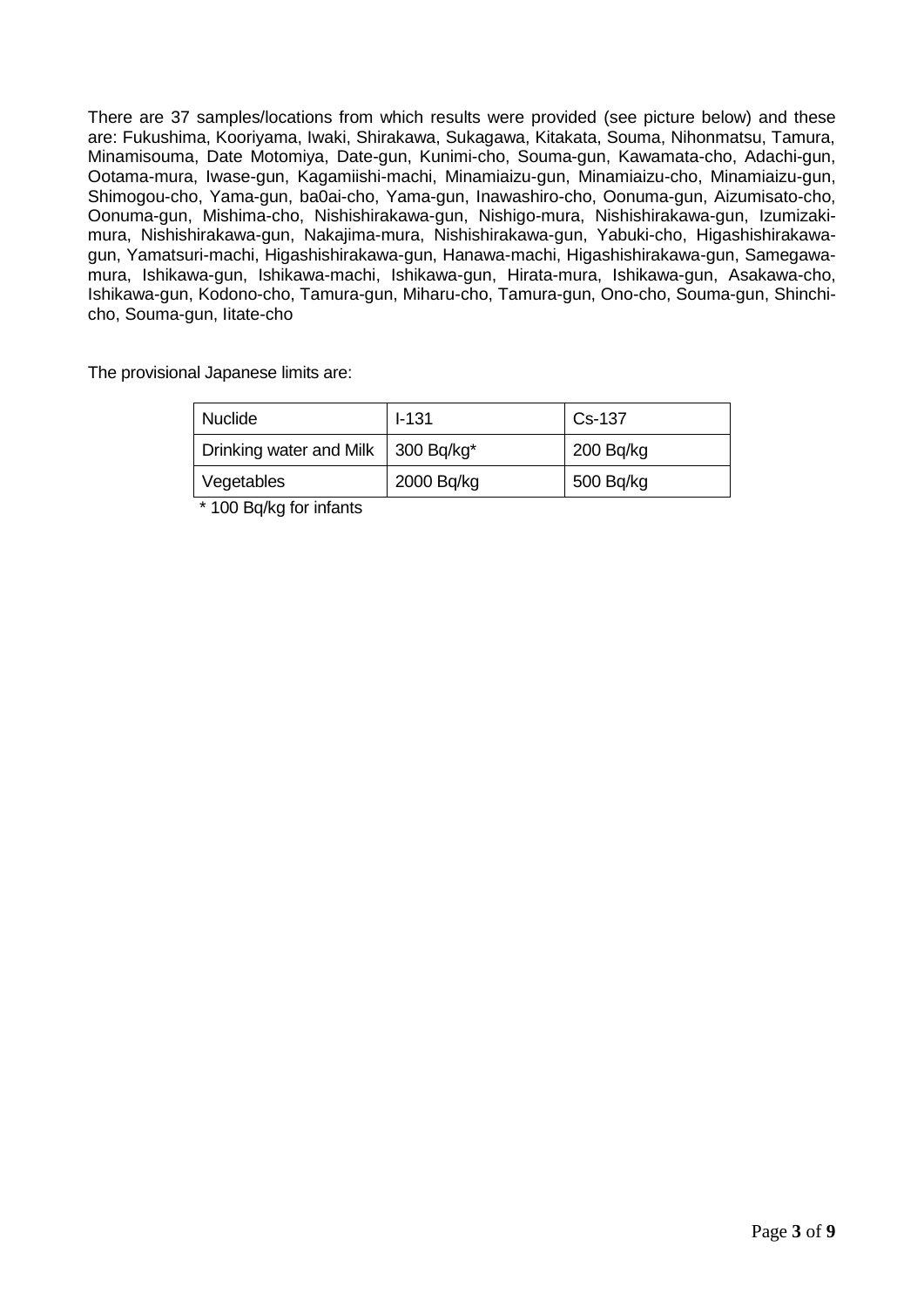There are 37 samples/locations from which results were provided (see picture below) and these are: Fukushima, Kooriyama, Iwaki, Shirakawa, Sukagawa, Kitakata, Souma, Nihonmatsu, Tamura, Minamisouma, Date Motomiya, Date-gun, Kunimi-cho, Souma-gun, Kawamata-cho, Adachi-gun, Ootama-mura, Iwase-gun, Kagamiishi-machi, Minamiaizu-gun, Minamiaizu-cho, Minamiaizu-gun, Shimogou-cho, Yama-gun, ba0ai-cho, Yama-gun, Inawashiro-cho, Oonuma-gun, Aizumisato-cho, Oonuma-gun, Mishima-cho, Nishishirakawa-gun, Nishigo-mura, Nishishirakawa-gun, Izumizakimura, Nishishirakawa-gun, Nakajima-mura, Nishishirakawa-gun, Yabuki-cho, Higashishirakawagun, Yamatsuri-machi, Higashishirakawa-gun, Hanawa-machi, Higashishirakawa-gun, Samegawamura, Ishikawa-gun, Ishikawa-machi, Ishikawa-gun, Hirata-mura, Ishikawa-gun, Asakawa-cho, Ishikawa-gun, Kodono-cho, Tamura-gun, Miharu-cho, Tamura-gun, Ono-cho, Souma-gun, Shinchicho, Souma-gun, Iitate-cho

The provisional Japanese limits are:

| <b>Nuclide</b>                       | $-1.31$    | Cs-137    |
|--------------------------------------|------------|-----------|
| Drinking water and Milk   300 Bq/kg* |            | 200Bq/kg  |
| Vegetables                           | 2000 Bq/kg | 500 Bq/kg |

\* 100 Bq/kg for infants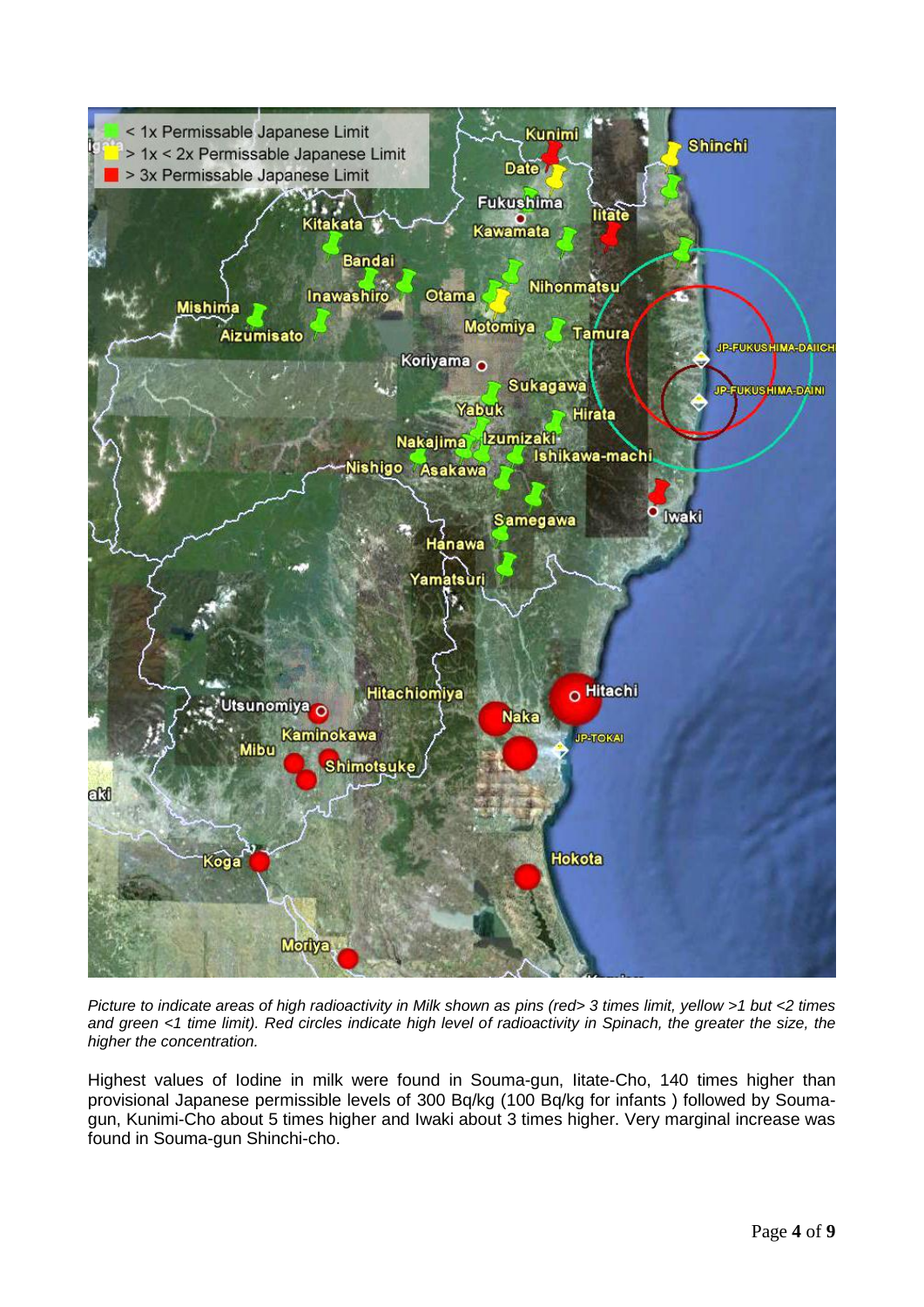

*Picture to indicate areas of high radioactivity in Milk shown as pins (red> 3 times limit, yellow >1 but <2 times and green <1 time limit). Red circles indicate high level of radioactivity in Spinach, the greater the size, the higher the concentration.*

Highest values of Iodine in milk were found in Souma-gun, Iitate-Cho, 140 times higher than provisional Japanese permissible levels of 300 Bq/kg (100 Bq/kg for infants ) followed by Soumagun, Kunimi-Cho about 5 times higher and Iwaki about 3 times higher. Very marginal increase was found in Souma-gun Shinchi-cho.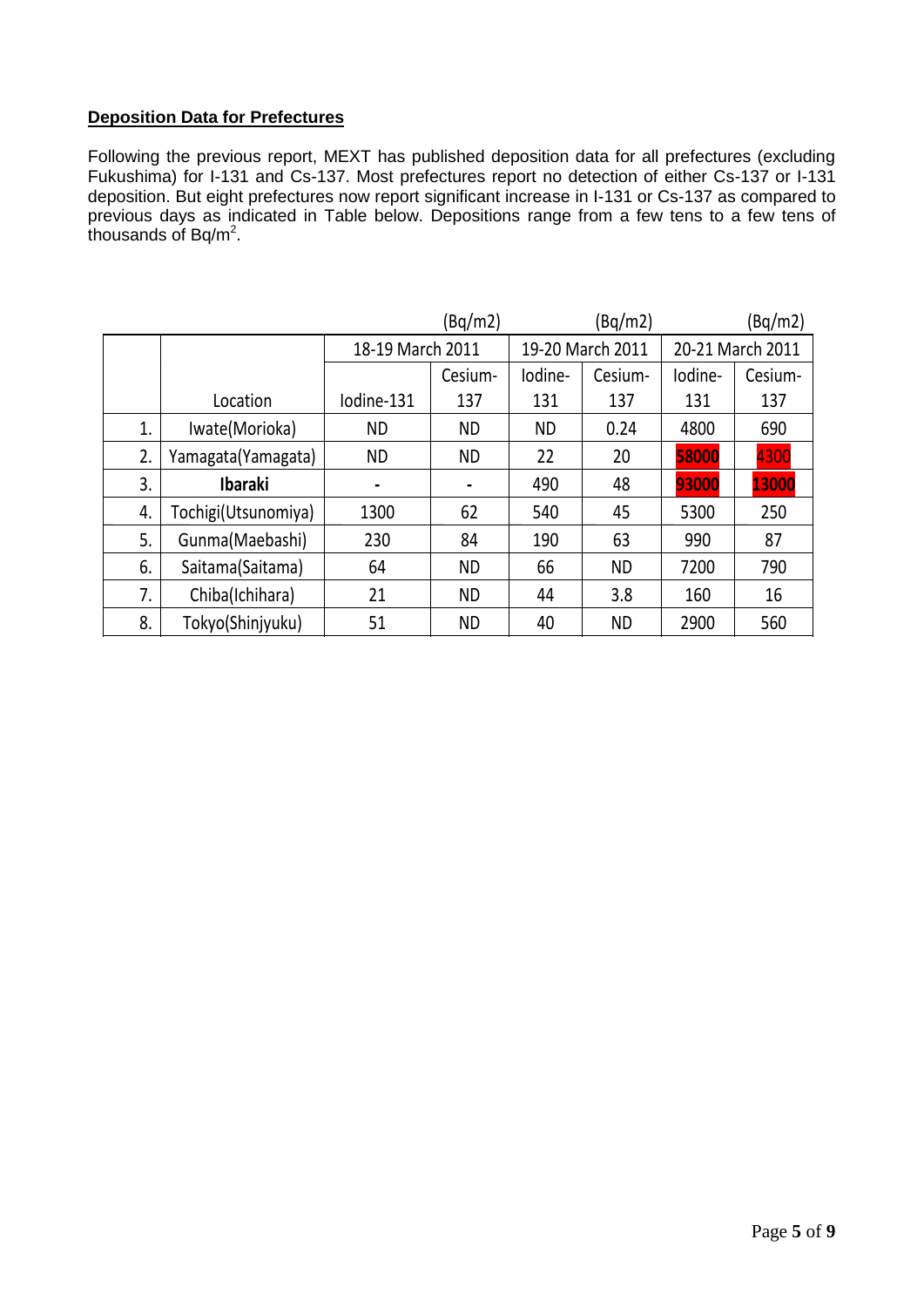## **Deposition Data for Prefectures**

Following the previous report, MEXT has published deposition data for all prefectures (excluding Fukushima) for I-131 and Cs-137. Most prefectures report no detection of either Cs-137 or I-131 deposition. But eight prefectures now report significant increase in I-131 or Cs-137 as compared to previous days as indicated in Table below. Depositions range from a few tens to a few tens of thousands of Bq/m<sup>2</sup>.  $\mathcal S$  or  $\mathsf D\mathsf q$ /m.

|    |                     |                  | (Bq/m2)        |                  | (Bq/m2)   |                  | (Bq/m2) |
|----|---------------------|------------------|----------------|------------------|-----------|------------------|---------|
|    |                     | 18-19 March 2011 |                | 19-20 March 2011 |           | 20-21 March 2011 |         |
|    |                     |                  | Cesium-        | lodine-          | Cesium-   | lodine-          | Cesium- |
|    | Location            | Iodine-131       | 137            | 131              | 137       | 131              | 137     |
| 1. | Iwate(Morioka)      | <b>ND</b>        | <b>ND</b>      | <b>ND</b>        | 0.24      | 4800             | 690     |
| 2. | Yamagata (Yamagata) | <b>ND</b>        | <b>ND</b>      | 22               | 20        | 58000            | 4300    |
| 3. | <b>Ibaraki</b>      |                  | $\blacksquare$ | 490              | 48        | 93000            | 13000   |
| 4. | Tochigi(Utsunomiya) | 1300             | 62             | 540              | 45        | 5300             | 250     |
| 5. | Gunma(Maebashi)     | 230              | 84             | 190              | 63        | 990              | 87      |
| 6. | Saitama(Saitama)    | 64               | <b>ND</b>      | 66               | <b>ND</b> | 7200             | 790     |
| 7. | Chiba(Ichihara)     | 21               | <b>ND</b>      | 44               | 3.8       | 160              | 16      |
| 8. | Tokyo(Shinjyuku)    | 51               | <b>ND</b>      | 40               | <b>ND</b> | 2900             | 560     |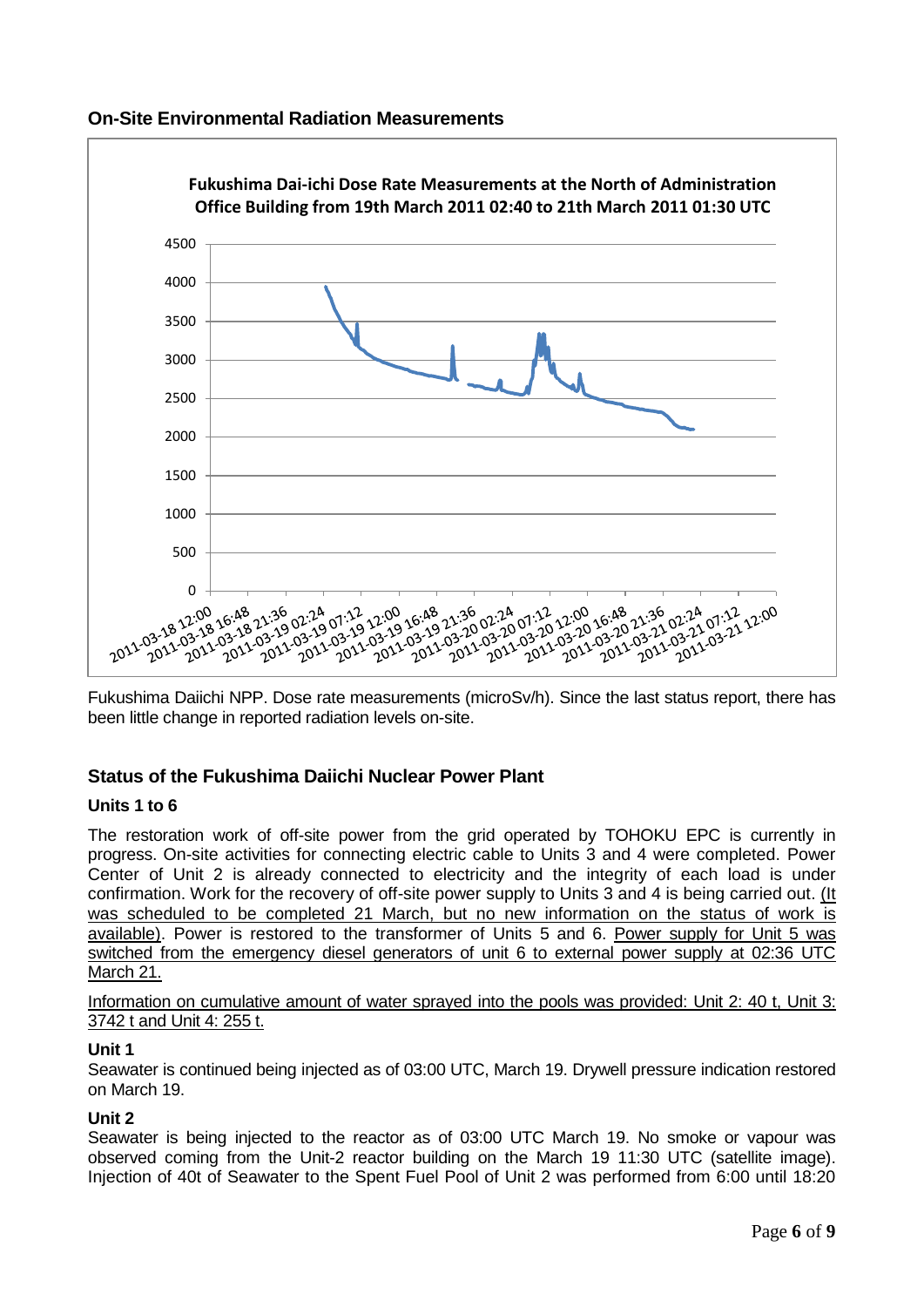



Fukushima Daiichi NPP. Dose rate measurements (microSv/h). Since the last status report, there has been little change in reported radiation levels on-site.

# **Status of the Fukushima Daiichi Nuclear Power Plant**

### **Units 1 to 6**

The restoration work of off-site power from the grid operated by TOHOKU EPC is currently in progress. On-site activities for connecting electric cable to Units 3 and 4 were completed. Power Center of Unit 2 is already connected to electricity and the integrity of each load is under confirmation. Work for the recovery of off-site power supply to Units 3 and 4 is being carried out. (It was scheduled to be completed 21 March, but no new information on the status of work is available). Power is restored to the transformer of Units 5 and 6. Power supply for Unit 5 was switched from the emergency diesel generators of unit 6 to external power supply at 02:36 UTC March 21.

Information on cumulative amount of water sprayed into the pools was provided: Unit 2: 40 t, Unit 3: 3742 t and Unit 4: 255 t.

### **Unit 1**

Seawater is continued being injected as of 03:00 UTC, March 19. Drywell pressure indication restored on March 19.

## **Unit 2**

Seawater is being injected to the reactor as of 03:00 UTC March 19. No smoke or vapour was observed coming from the Unit-2 reactor building on the March 19 11:30 UTC (satellite image). Injection of 40t of Seawater to the Spent Fuel Pool of Unit 2 was performed from 6:00 until 18:20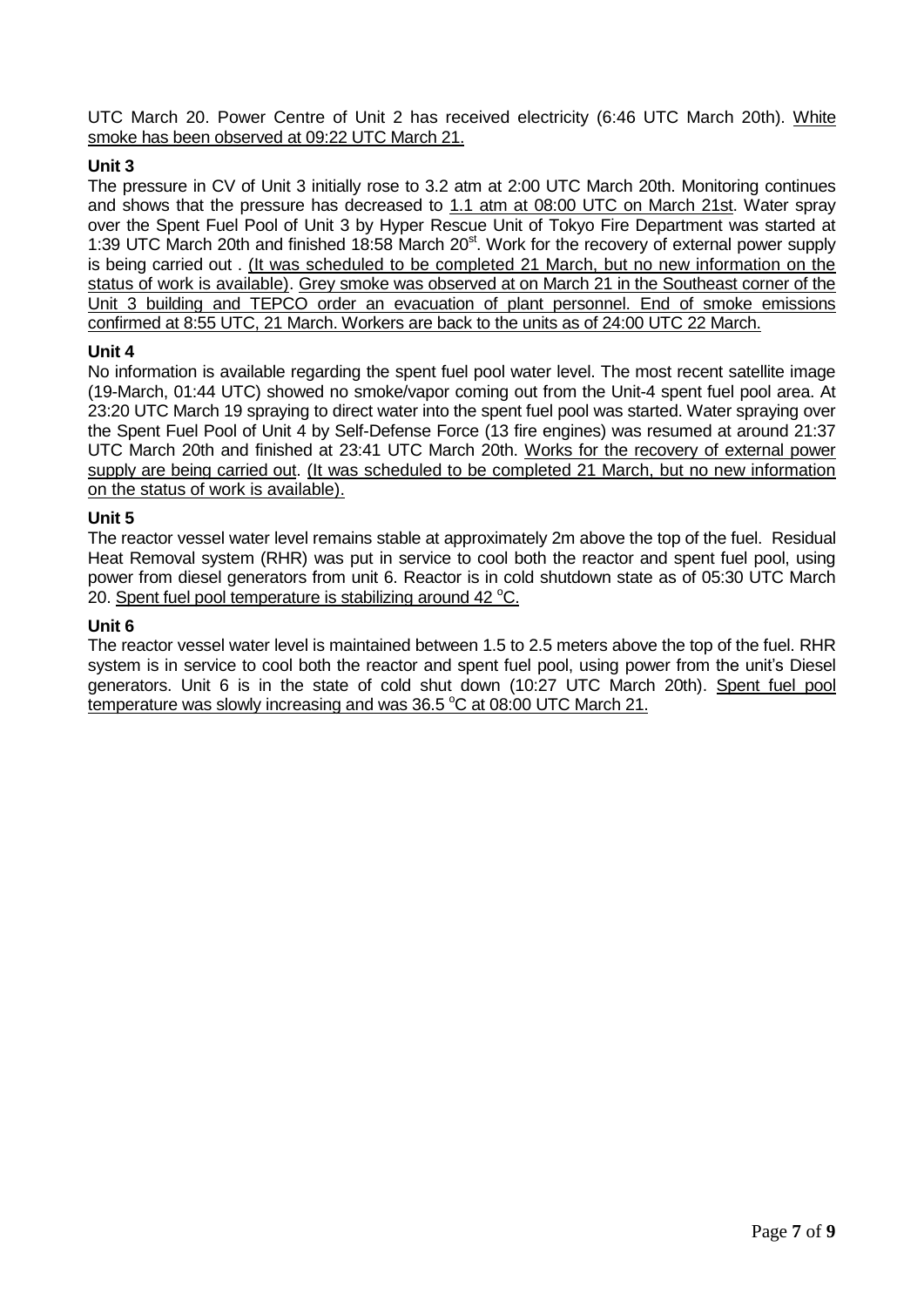UTC March 20. Power Centre of Unit 2 has received electricity (6:46 UTC March 20th). White smoke has been observed at 09:22 UTC March 21.

## **Unit 3**

The pressure in CV of Unit 3 initially rose to 3.2 atm at 2:00 UTC March 20th. Monitoring continues and shows that the pressure has decreased to 1.1 atm at 08:00 UTC on March 21st. Water spray over the Spent Fuel Pool of Unit 3 by Hyper Rescue Unit of Tokyo Fire Department was started at 1:39 UTC March 20th and finished 18:58 March 20<sup>st</sup>. Work for the recovery of external power supply is being carried out . (It was scheduled to be completed 21 March, but no new information on the status of work is available). Grey smoke was observed at on March 21 in the Southeast corner of the Unit 3 building and TEPCO order an evacuation of plant personnel. End of smoke emissions confirmed at 8:55 UTC, 21 March. Workers are back to the units as of 24:00 UTC 22 March.

### **Unit 4**

No information is available regarding the spent fuel pool water level. The most recent satellite image (19-March, 01:44 UTC) showed no smoke/vapor coming out from the Unit-4 spent fuel pool area. At 23:20 UTC March 19 spraying to direct water into the spent fuel pool was started. Water spraying over the Spent Fuel Pool of Unit 4 by Self-Defense Force (13 fire engines) was resumed at around 21:37 UTC March 20th and finished at 23:41 UTC March 20th. Works for the recovery of external power supply are being carried out. (It was scheduled to be completed 21 March, but no new information on the status of work is available).

### **Unit 5**

The reactor vessel water level remains stable at approximately 2m above the top of the fuel. Residual Heat Removal system (RHR) was put in service to cool both the reactor and spent fuel pool, using power from diesel generators from unit 6. Reactor is in cold shutdown state as of 05:30 UTC March 20. Spent fuel pool temperature is stabilizing around  $42^{\circ}$ C.

### **Unit 6**

The reactor vessel water level is maintained between 1.5 to 2.5 meters above the top of the fuel. RHR system is in service to cool both the reactor and spent fuel pool, using power from the unit's Diesel generators. Unit 6 is in the state of cold shut down (10:27 UTC March 20th). Spent fuel pool temperature was slowly increasing and was 36.5 °C at 08:00 UTC March 21.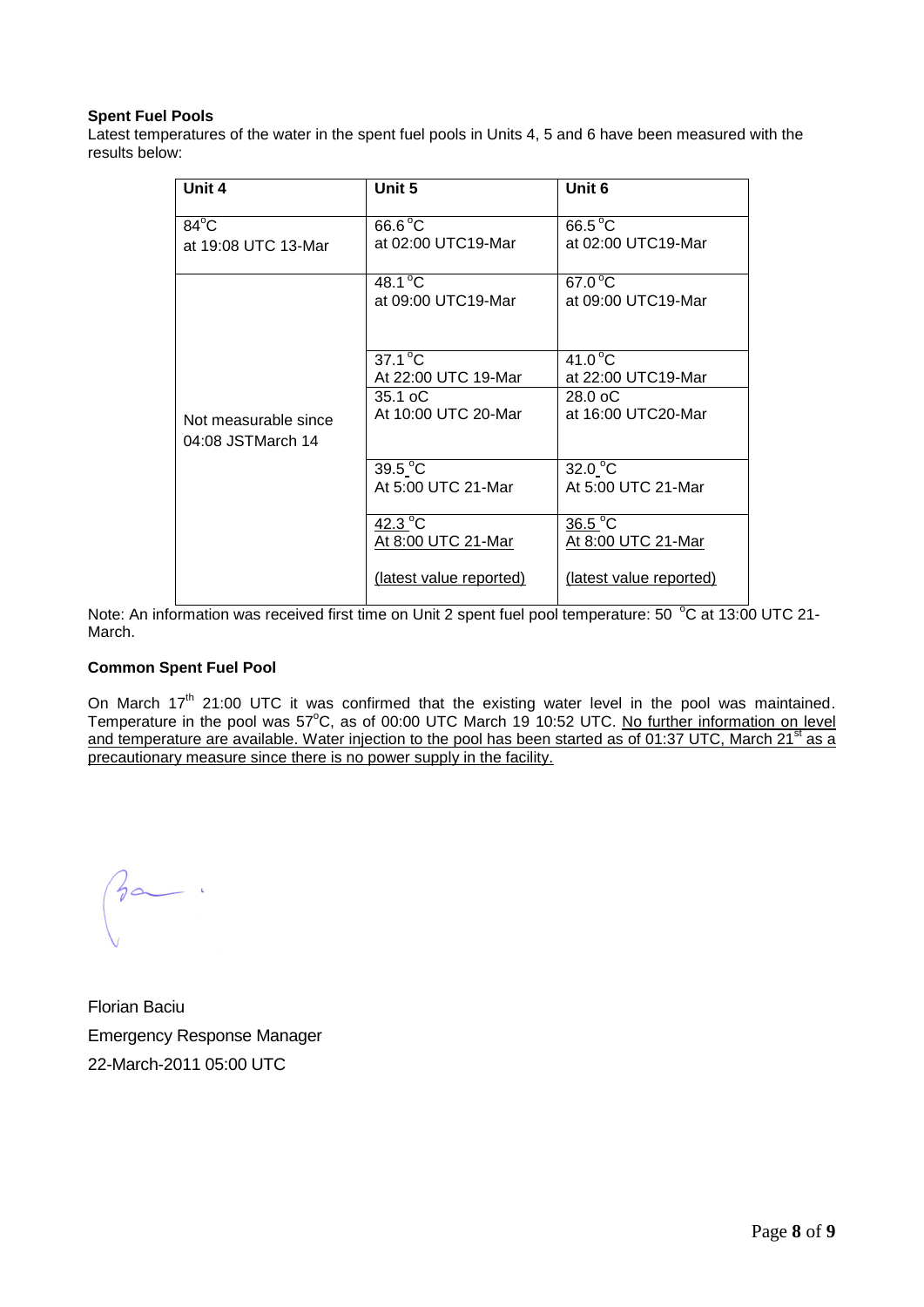#### **Spent Fuel Pools**

Latest temperatures of the water in the spent fuel pools in Units 4, 5 and 6 have been measured with the results below:

| Unit 4                                    | Unit 5                                   | Unit 6                                  |  |  |  |
|-------------------------------------------|------------------------------------------|-----------------------------------------|--|--|--|
| $84^{\circ}$ C                            | $66.6^{\circ}$ C                         | $66.5^{\circ}$ C<br>at 02:00 UTC19-Mar  |  |  |  |
| at 19:08 UTC 13-Mar                       | at 02:00 UTC19-Mar                       |                                         |  |  |  |
|                                           | 48.1 $^{\circ}$ C                        | $67.0^{\circ}$ C                        |  |  |  |
|                                           | at 09:00 UTC19-Mar                       | at 09:00 UTC19-Mar                      |  |  |  |
| Not measurable since<br>04:08 JSTMarch 14 | $37.1^{\circ}$ C                         | $41.0^{\circ}$ C                        |  |  |  |
|                                           | At 22:00 UTC 19-Mar                      | at 22:00 UTC19-Mar                      |  |  |  |
|                                           | $35.1 \text{ oC}$<br>At 10:00 UTC 20-Mar | $28.0 \text{ oC}$<br>at 16:00 UTC20-Mar |  |  |  |
|                                           | 39.5 °C                                  | 32.0 °C                                 |  |  |  |
|                                           | At 5:00 UTC 21-Mar                       | At 5:00 UTC 21-Mar                      |  |  |  |
|                                           | $42.3^{\circ}$ C                         | $36.5^{\circ}$ C                        |  |  |  |
|                                           | At 8:00 UTC 21-Mar                       | At 8:00 UTC 21-Mar                      |  |  |  |
|                                           | (latest value reported)                  | (latest value reported)                 |  |  |  |

Note: An information was received first time on Unit 2 spent fuel pool temperature: 50 °C at 13:00 UTC 21-March.

#### **Common Spent Fuel Pool**

On March  $17<sup>th</sup>$  21:00 UTC it was confirmed that the existing water level in the pool was maintained. Temperature in the pool was 57°C, as of 00:00 UTC March 19 10:52 UTC. No further information on level and temperature are available. Water injection to the pool has been started as of 01:37 UTC, March 21<sup>st</sup> as a precautionary measure since there is no power supply in the facility.

 $3a$ .

Florian Baciu Emergency Response Manager 22-March-2011 05:00 UTC